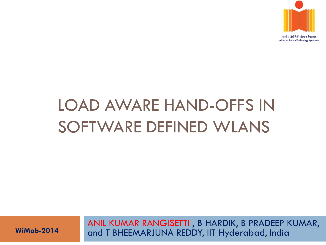

# LOAD AWARE HAND-OFFS IN SOFTWARE DEFINED WLANS

ANIL KUMAR RANGISETTI , B HARDIK, B PRADEEP KUMAR, **WiMob-2014** and T BHEEMARJUNA REDDY, IIT Hyderabad, India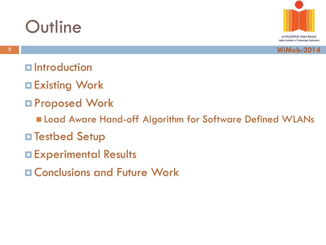





- $\blacksquare$  Introduction
- Existing Work
- Proposed Work
	- **Example 2 Load Aware Hand-off Algorithm for Software Defined WLANs**
- **□ Testbed Setup**
- Experimental Results
- **E Conclusions and Future Work**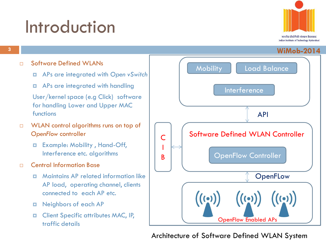### Introduction



**3**

#### □ Software Defined WLANs

- APs are integrated with *Open vSwitch*
- APs are integrated with handling

User/kernel space (e.g Click) software for handling Lower and Upper MAC functions

- □ WLAN control algorithms runs on top of *OpenFlow* controller
	- Example: Mobility , Hand-Off, Interference etc. algorithms
- n Central Information Base
	- Maintains AP related information like AP load, operating channel, clients connected to each AP etc.
	- Neighbors of each AP
	- **D** Client Specific attributes MAC, IP, traffic details



Architecture of Software Defined WLAN System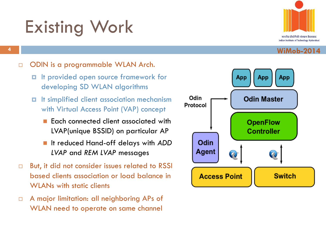# Existing Work



#### **<sup>4</sup> WiMob-2014**

#### □ ODIN is a programmable WLAN Arch.

- If provided open source framework for developing SD WLAN algorithms
- It simplified client association mechanism with Virtual Access Point (VAP) concept
	- Each connected client associated with LVAP(unique BSSID) on particular AP
	- It reduced Hand-off delays with *ADD LVAP* and *REM LVAP* messages
- $\Box$  But, it did not consider issues related to RSSI based clients association or load balance in WI ANs with static clients
- □ A major limitation: all neighboring APs of WLAN need to operate on same channel

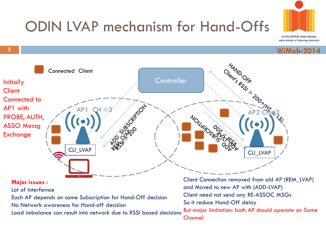

**5**



#### **WiMob-2014**



But major limitation: both AP should operate on Same Channel Load imbalance can result into network due to RSSI based decisions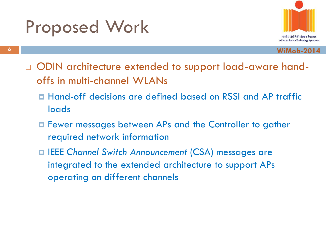### Proposed Work



- □ ODIN architecture extended to support load-aware handoffs in multi-channel WLANs
	- Hand-off decisions are defined based on RSSI and AP traffic loads
	- Fewer messages between APs and the Controller to gather required network information
	- IEEE *Channel Switch Announcement* (CSA) messages are integrated to the extended architecture to support APs operating on different channels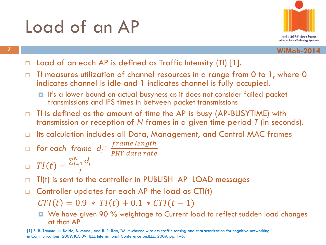### Load of an AP



**<sup>7</sup> WiMob-2014**

- $\Box$  Load of an each AP is defined as Traffic Intensity (TI) [1].
- $\Box$  TI measures utilization of channel resources in a range from 0 to 1, where 0 indicates channel is idle and 1 indicates channel is fully occupied.
	- It's a lower bound on actual busyness as it does not consider failed packet transmissions and IFS times in between packet transmissions
- $\Box$  TI is defined as the amount of time the AP is busy (AP-BUSYTIME) with transmission or reception of *N* frames in a given time period *T* (in seconds).
- $\Box$  Its calculation includes all Data, Management, and Control MAC frames
- $\Box$  For each frame  $d_i = \frac{frame\ length}{p_{HV\ data\ rate}}$ 
	- PHY data rate

 $T I(t) =$  $\sum_{i=1}^N$  d<sub>i</sub>  $i=1$  $\overline{T}$ 

- $\Box$  TI(t) is sent to the controller in PUBLISH\_AP\_LOAD messages
- $\Box$  Controller updates for each AP the load as CTI(t)

 $CTI(t) = 0.9 * TI(t) + 0.1 * CTI(t - 1)$ 

■ We have given 90 % weightage to Current load to reflect sudden load changes at that AP

[1] B. R. Tamma, N. Baldo, B. Manoj, and R. R. Rao, "Multi-channelwireless traffic sensing and characterization for cognitive networking," in Communications, 2009. ICC'09. IEEE International Conference on.IEEE, 2009, pp. 1–5.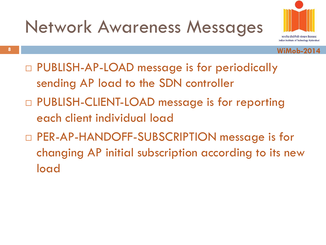



- PUBLISH-AP-LOAD message is for periodically sending AP load to the SDN controller
- □ PUBLISH-CLIENT-LOAD message is for reporting each client individual load
- □ PER-AP-HANDOFF-SUBSCRIPTION message is for changing AP initial subscription according to its new load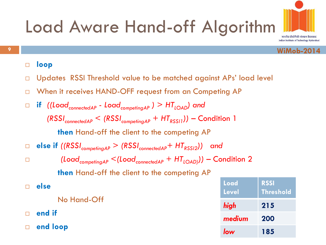

#### **loop**

- □ Updates RSSI Threshold value to be matched against APs' load level
- □ When it receives HAND-OFF request from an Competing AP
- **if** *((LoadconnectedAP - LoadcompetingAP ) > HTLOAD) and (RSSIconnectedAP < (RSSIcompetingAP + HTRSSI1))* – Condition 1 **then** Hand-off the client to the competing AP **else if** *((RSSIcompetingAP > (RSSIconnectedAP+ HTRSSI2)) and (LoadcompetingAP <(LoadconnectedAP + HTLOAD) )) –* Condition 2 **then** Hand-off the client to the competing AP

|        | else        | Load<br><b>Level</b> | <b>RSSI</b><br><b>Thres</b> |
|--------|-------------|----------------------|-----------------------------|
|        | No Hand-Off | high                 | 215                         |
| $\Box$ | end if      | medium               | 200                         |
| $\Box$ | end loop    | low                  | 185                         |

**hold** 

Indian Institute of Technology Hyderabad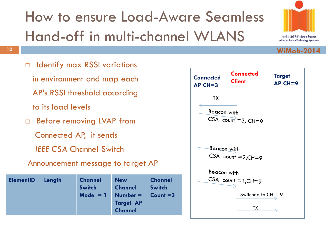



**WiMob-2014**

#### **10**

- □ Identify max RSSI variations in environment and map each AP's RSSI threshold according to its load levels □ Before removing LVAP from
	- Connected AP, it sends
	- *IEEE CSA* Channel Switch

### Announcement message to target AP

| <b>New</b><br><b>ElementID</b><br>Length<br><b>Channel</b><br><b>Channel</b><br>Switch<br>$Number =$<br>Mode $= 1$<br><b>Target AP</b><br><b>Channel</b> | <b>Channel</b><br>Switch<br>$Count = 3$ |
|----------------------------------------------------------------------------------------------------------------------------------------------------------|-----------------------------------------|
|----------------------------------------------------------------------------------------------------------------------------------------------------------|-----------------------------------------|

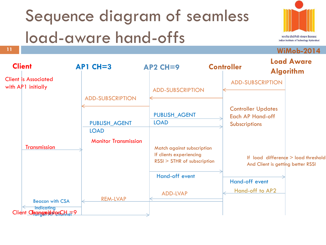# Sequence diagram of seamless load-aware hand-offs



**WiMob-2014**

**11**

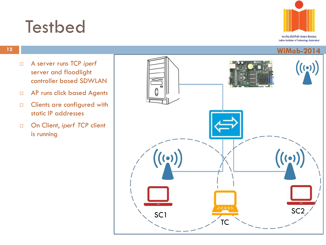### **Testbed**

**12**



- A server runs TCP *iperf* server and floodlight controller based SDWLAN
- AP runs click based Agents
- **Clients are configured with** static IP addresses
- □ On Client, *iperf TCP* client is running

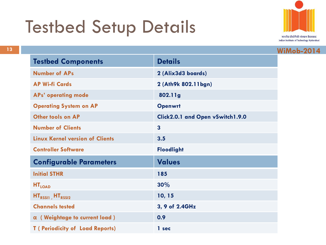# Testbed Setup Details



|                                         |                                  | <b>WiMob-2014</b> |
|-----------------------------------------|----------------------------------|-------------------|
| <b>Testbed Components</b>               | <b>Details</b>                   |                   |
| <b>Number of APs</b>                    | 2 (Alix3d3 boards)               |                   |
| <b>AP Wi-fi Cards</b>                   | 2 (Ath9k 802.11bgn)              |                   |
| <b>APs' operating mode</b>              | 802.11g                          |                   |
| <b>Operating System on AP</b>           | <b>Openwrt</b>                   |                   |
| <b>Other tools on AP</b>                | Click2.0.1 and Open vSwitch1.9.0 |                   |
| <b>Number of Clients</b>                | $\overline{3}$                   |                   |
| <b>Linux Kernel version of Clients</b>  | 3.5                              |                   |
| <b>Controller Software</b>              | <b>Floodlight</b>                |                   |
| <b>Configurable Parameters</b>          | <b>Values</b>                    |                   |
| <b>Initial STHR</b>                     | 185                              |                   |
| <b>HT<sub>LOAD</sub></b>                | 30%                              |                   |
| $HTRSS11$ , $HTRSS12$                   | 10, 15                           |                   |
| <b>Channels tested</b>                  | 3, 9 of 2.4GHz                   |                   |
| $\alpha$ (Weightage to current load)    | 0.9                              |                   |
| <b>T</b> ( Periodicity of Load Reports) | 1 sec                            |                   |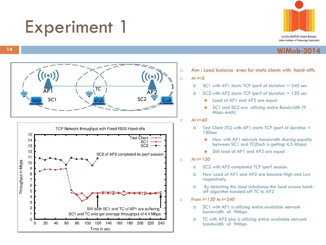### Experiment 1







- Aim : Load balance even for static clients with hand-offs At *t=0*
	- $\blacksquare$  SC1 with AP1 starts TCP iperf of duration = 240 sec
	- $\blacksquare$  SC2 with AP2 starts TCP iperf of duration = 120 sec
		- Load of AP1 and AP2 are equal
		- SC1 and SC2 are utilizing entire Bandwidth (9 Mbps each)
- At *t=60*
	- $\Box$  Test Client (TC) with AP1 starts TCP iperf of duration  $=$ 180sec
		- Now with AP1 network bandwidth sharing equally between SC1 and TC(Each is getting 4.5 Mbps)
		- Still load of AP1 and AP2 are equal
- At *t=120*
	- □ SC2 with AP2 completed TCP iperf session.
	- Now Load of AP1 and AP2 are become High and Low respectively
	- By detecting this load imbalance the load aware handoff algorithm handed-off TC to AP2
- From *t=120 to t=240*
	- $\Box$  SC1 with AP1 is utilizing entire available network bandwidth of 9Mbps
	- **TC** with AP2 also is utilizing entire available network bandwidth of 9Mbps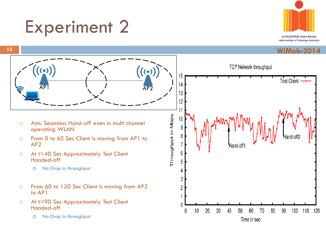### Experiment 2



#### **WiMob-2014**



**15**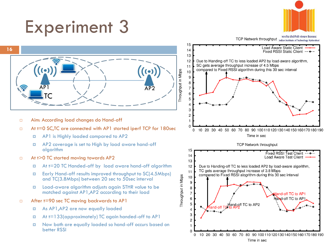# Experiment 3



भारतीय प्रौद्योगिकी संस्थान हैदराबाद पारतीय प्राद्यागिका संस्थान हदराबाद<br>Indian Institute of Technology Hyderabad



- □ Aim: According load changes do Hand-off
- □ At t=0 SC, TC are connected with AP1 started iperf TCP for 180sec
	- AP1 is Highly loaded compared to AP2
	- AP2 coverage is set to High by load aware hand-off algorithm
- □ At t>0 TC started moving towards AP2
	- At t=20 TC Handed-off by load aware hand-off algorithm
	- Early Hand-off results improved throughput to SC(4.5Mbps) and TC(3.8Mbps) between 20 sec to 50sec interval
	- Load-aware algorithm adjusts again STHR value to be matched against AP1,AP2 according to their load
- □ After t=90 sec TC moving backwards to AP1
	- As AP1,AP2 are now equally loaded
	- At t=133(approximately) TC again handed-off to AP1
	- Now both are equally loaded so hand-off occurs based on better RSSI

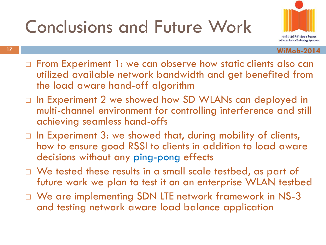# Conclusions and Future Work



- $\Box$  From Experiment 1: we can observe how static clients also can utilized available network bandwidth and get benefited from the load aware hand-off algorithm
- □ In Experiment 2 we showed how SD WLANs can deployed in multi-channel environment for controlling interference and still achieving seamless hand-offs
- $\Box$  In Experiment 3: we showed that, during mobility of clients, how to ensure good RSSI to clients in addition to load aware decisions without any ping-pong effects
- $\Box$  We tested these results in a small scale testbed, as part of future work we plan to test it on an enterprise WLAN testbed
- □ We are implementing SDN LTE network framework in NS-3 and testing network aware load balance application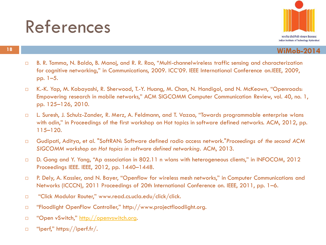### References



- □ B. R. Tamma, N. Baldo, B. Manoj, and R. R. Rao, "Multi-channelwireless traffic sensing and characterization for cognitive networking," in Communications, 2009. ICC'09. IEEE International Conference on.IEEE, 2009, pp. 1–5.
- K.-K. Yap, M. Kobayashi, R. Sherwood, T.-Y. Huang, M. Chan, N. Handigol, and N. McKeown, "Openroads: Empowering research in mobile networks," ACM SIGCOMM Computer Communication Review, vol. 40, no. 1, pp. 125–126, 2010.
- □ L. Suresh, J. Schulz-Zander, R. Merz, A. Feldmann, and T. Vazao, "Towards programmable enterprise wlans with odin," in Proceedings of the first workshop on Hot topics in software defined networks. ACM, 2012, pp. 115–120.
- Gudipati, Aditya, et al. "SoftRAN: Software defined radio access network."*Proceedings of the second ACM SIGCOMM workshop on Hot topics in software defined networking*. ACM, 2013.
- □ D. Gong and Y. Yang, "Ap association in 802.11 n wlans with heterogeneous clients," in INFOCOM, 2012 Proceedings IEEE. IEEE, 2012, pp. 1440–1448.
- □ P. Dely, A. Kassler, and N. Bayer, "Openflow for wireless mesh networks," in Computer Communications and Networks (ICCCN), 2011 Proceedings of 20th International Conference on. IEEE, 2011, pp. 1–6.
- □ "Click Modular Router," www.read.cs.ucla.edu/click/click.
- □ "Floodlight OpenFlow Controller," http://www.projectfloodlight.org.
- □ "Open vSwitch," [http://openvswitch.org.](http://openvswitch.org/)
- □ "Iperf," https://iperf.fr/.